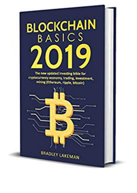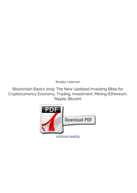*Bradley Lakeman*

**Blockchain Basics 2019: The New Updated Investing Bible for Cryptocurrency Economy, Trading, Investment, Mining (Ethereum, Ripple, Bitcoin)**

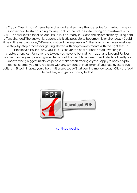Is Crypto Dead in 2019? Items have changed and so have the strategies for making money.- Discover how to start building money right off the bat, despite having an investment only \$100. The market waits for no one! Issue is, it's already 2019 and the cryptocurrency using field offers changed.The answer is: depends. Is it still possible to become millionaire today? Could it be still rewarding today?We've all noticed the expression, ". That is why we have developed a step-by-step process for getting started with crypto investments with the right feet. In Blockchain Basics 2019, you will:- Discover the best period to start investing in cryptocurrencies.- Uncover the tokens you have to be trading in 2019 and beyond. Unless you're pursuing an updated guide, items could go terribly incorrect.. and which not really to-Uncover the 5 biggest mistakes people make when trading crypto- Apply 7-body crypto expense secrets you may replicate with any amount of investment.if you had invested 100 dollars in Bitcoin in 2011, you'd be a millionaire today"Start earning money today.. Click the 'add to cart' key and get your copy today!!



[continue reading](http://bit.ly/2Tge8Fv)